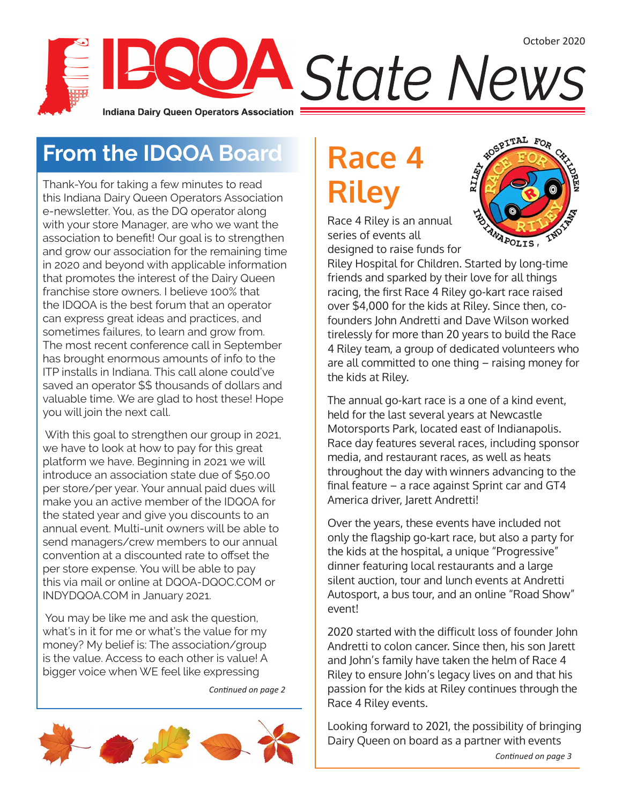### **From the IDQOA Board**

Thank-You for taking a few minutes to read this Indiana Dairy Queen Operators Association e-newsletter. You, as the DQ operator along with your store Manager, are who we want the association to benefit! Our goal is to strengthen and grow our association for the remaining time in 2020 and beyond with applicable information that promotes the interest of the Dairy Queen franchise store owners. I believe 100% that the IDQOA is the best forum that an operator can express great ideas and practices, and sometimes failures, to learn and grow from. The most recent conference call in September has brought enormous amounts of info to the ITP installs in Indiana. This call alone could've saved an operator \$\$ thousands of dollars and valuable time. We are glad to host these! Hope you will join the next call.

 With this goal to strengthen our group in 2021, we have to look at how to pay for this great platform we have. Beginning in 2021 we will introduce an association state due of \$50.00 per store/per year. Your annual paid dues will make you an active member of the IDQOA for the stated year and give you discounts to an annual event. Multi-unit owners will be able to send managers/crew members to our annual convention at a discounted rate to offset the per store expense. You will be able to pay this via mail or online at DQOA-DQOC.COM or INDYDQOA.COM in January 2021.

 You may be like me and ask the question, what's in it for me or what's the value for my money? My belief is: The association/group is the value. Access to each other is value! A bigger voice when WE feel like expressing

*Continued on page 2*



# **Race 4 Riley**



Race 4 Riley is an annual series of events all designed to raise funds for

Riley Hospital for Children. Started by long-time friends and sparked by their love for all things racing, the first Race 4 Riley go-kart race raised over \$4,000 for the kids at Riley. Since then, cofounders John Andretti and Dave Wilson worked tirelessly for more than 20 years to build the Race 4 Riley team, a group of dedicated volunteers who are all committed to one thing – raising money for the kids at Riley.

The annual go-kart race is a one of a kind event, held for the last several years at Newcastle Motorsports Park, located east of Indianapolis. Race day features several races, including sponsor media, and restaurant races, as well as heats throughout the day with winners advancing to the final feature – a race against Sprint car and GT4 America driver, Jarett Andretti!

Over the years, these events have included not only the flagship go-kart race, but also a party for the kids at the hospital, a unique "Progressive" dinner featuring local restaurants and a large silent auction, tour and lunch events at Andretti Autosport, a bus tour, and an online "Road Show" event!

2020 started with the difficult loss of founder John Andretti to colon cancer. Since then, his son Jarett and John's family have taken the helm of Race 4 Riley to ensure John's legacy lives on and that his passion for the kids at Riley continues through the Race 4 Riley events.

Looking forward to 2021, the possibility of bringing Dairy Queen on board as a partner with events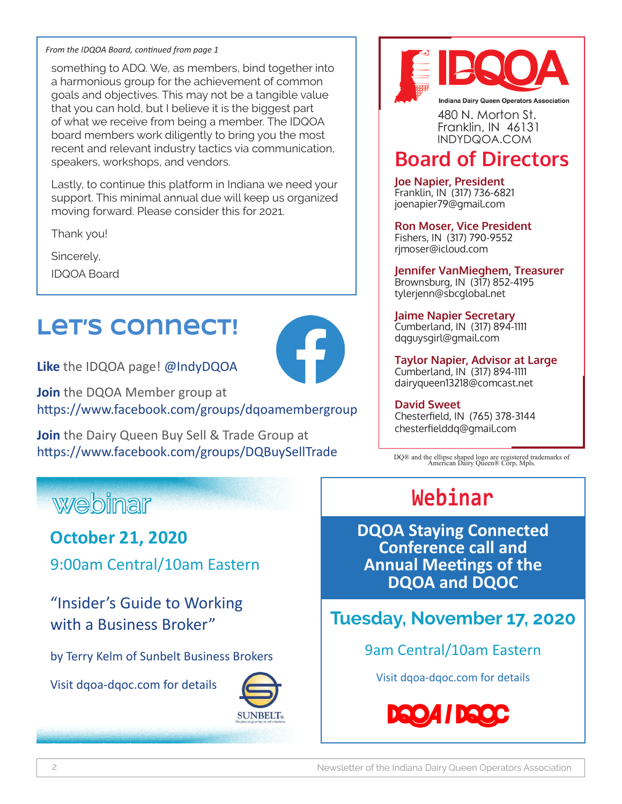#### *From the IDQOA Board, continued from page 1*

something to ADQ. We, as members, bind together into a harmonious group for the achievement of common goals and objectives. This may not be a tangible value that you can hold, but I believe it is the biggest part of what we receive from being a member. The IDQOA board members work diligently to bring you the most recent and relevant industry tactics via communication, speakers, workshops, and vendors.

Lastly, to continue this platform in Indiana we need your support. This minimal annual due will keep us organized moving forward. Please consider this for 2021.

Thank you!

Sincerely,

IDQOA Board

## **Let's connect!**



**Join** the DQOA Member group at https://www.facebook.com/groups/dqoamembergroup

**Join** the Dairy Queen Buy Sell & Trade Group at https://www.facebook.com/groups/DQBuySellTrade

#### **Indiana Dairy Queen Operators Association** 480 N. Morton St. Franklin, IN 46131 INDYDQOA.COM

#### **Board of Directors**

**Joe Napier, President** Franklin, IN (317) 736-6821 joenapier79@gmail.com

**Ron Moser, Vice President** Fishers, IN (317) 790-9552 rjmoser@icloud.com

**Jennifer VanMieghem, Treasurer** Brownsburg, IN (317) 852-4195 tylerjenn@sbcglobal.net

**Jaime Napier Secretary** Cumberland, IN (317) 894-1111 dqguysgirl@gmail.com

**Taylor Napier, Advisor at Large** Cumberland, IN (317) 894-1111 dairyqueen13218@comcast.net

**David Sweet** Chesterfield, IN (765) 378-3144 chesterfielddq@gmail.com

DQ® and the ellipse shaped logo are registered trademarks of American Dairy Queen® Corp, Mpls.

### **webinar**

#### **October 21, 2020**

9:00am Central/10am Eastern

"Insider's Guide to Working with a Business Broker"

by Terry Kelm of Sunbelt Business Brokers

Visit dqoa-dqoc.com for details



### **Webinar**

**DQOA Staying Connected Conference call and Annual Meetings of the DQOA and DQOC**

**Tuesday, November 17, 2020**

9am Central/10am Eastern

Visit dqoa-dqoc.com for details